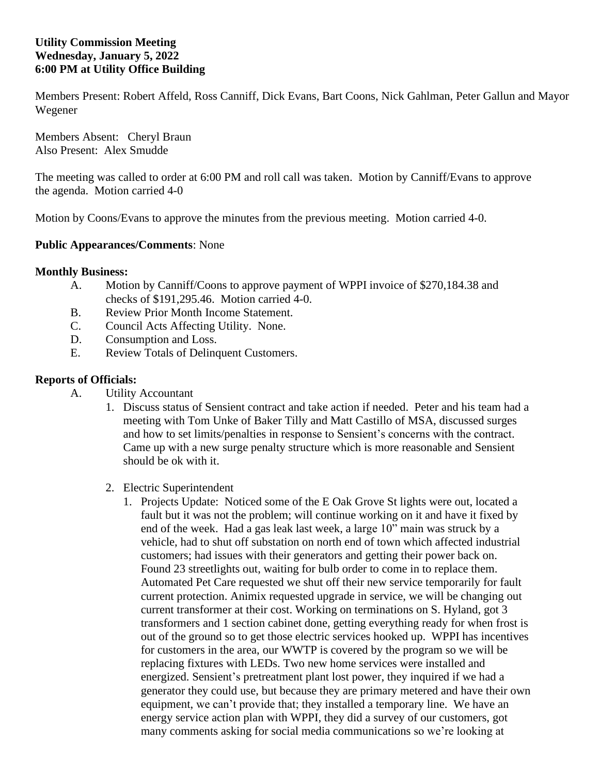## **Utility Commission Meeting Wednesday, January 5, 2022 6:00 PM at Utility Office Building**

Members Present: Robert Affeld, Ross Canniff, Dick Evans, Bart Coons, Nick Gahlman, Peter Gallun and Mayor Wegener

Members Absent: Cheryl Braun Also Present: Alex Smudde

The meeting was called to order at 6:00 PM and roll call was taken. Motion by Canniff/Evans to approve the agenda. Motion carried 4-0

Motion by Coons/Evans to approve the minutes from the previous meeting. Motion carried 4-0.

## **Public Appearances/Comments**: None

## **Monthly Business:**

- A. Motion by Canniff/Coons to approve payment of WPPI invoice of \$270,184.38 and checks of \$191,295.46. Motion carried 4-0.
- B. Review Prior Month Income Statement.
- C. Council Acts Affecting Utility. None.
- D. Consumption and Loss.
- E. Review Totals of Delinquent Customers.

## **Reports of Officials:**

- A. Utility Accountant
	- 1. Discuss status of Sensient contract and take action if needed. Peter and his team had a meeting with Tom Unke of Baker Tilly and Matt Castillo of MSA, discussed surges and how to set limits/penalties in response to Sensient's concerns with the contract. Came up with a new surge penalty structure which is more reasonable and Sensient should be ok with it.
	- 2. Electric Superintendent
		- 1. Projects Update: Noticed some of the E Oak Grove St lights were out, located a fault but it was not the problem; will continue working on it and have it fixed by end of the week. Had a gas leak last week, a large 10" main was struck by a vehicle, had to shut off substation on north end of town which affected industrial customers; had issues with their generators and getting their power back on. Found 23 streetlights out, waiting for bulb order to come in to replace them. Automated Pet Care requested we shut off their new service temporarily for fault current protection. Animix requested upgrade in service, we will be changing out current transformer at their cost. Working on terminations on S. Hyland, got 3 transformers and 1 section cabinet done, getting everything ready for when frost is out of the ground so to get those electric services hooked up. WPPI has incentives for customers in the area, our WWTP is covered by the program so we will be replacing fixtures with LEDs. Two new home services were installed and energized. Sensient's pretreatment plant lost power, they inquired if we had a generator they could use, but because they are primary metered and have their own equipment, we can't provide that; they installed a temporary line. We have an energy service action plan with WPPI, they did a survey of our customers, got many comments asking for social media communications so we're looking at